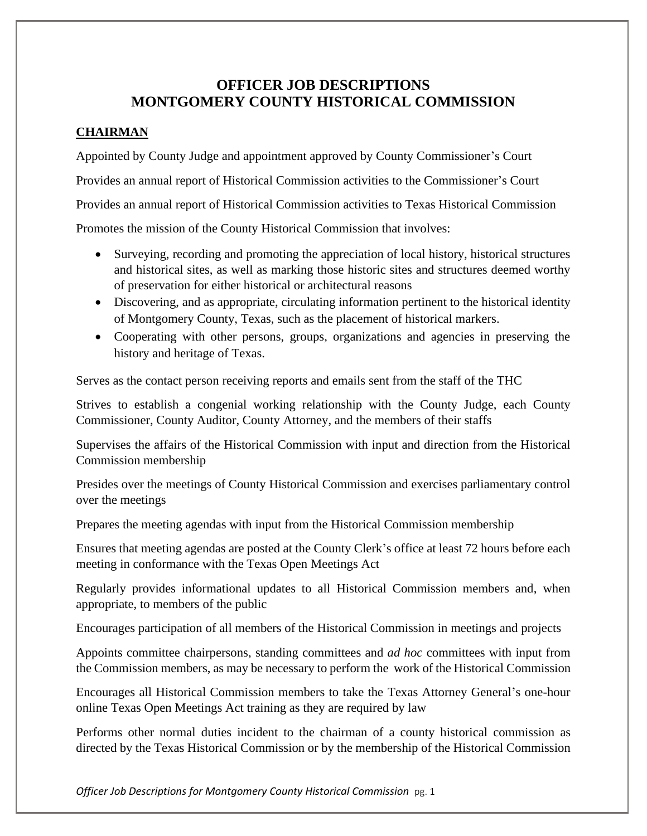# **OFFICER JOB DESCRIPTIONS MONTGOMERY COUNTY HISTORICAL COMMISSION**

## **CHAIRMAN**

Appointed by County Judge and appointment approved by County Commissioner's Court Provides an annual report of Historical Commission activities to the Commissioner's Court Provides an annual report of Historical Commission activities to Texas Historical Commission Promotes the mission of the County Historical Commission that involves:

- Surveying, recording and promoting the appreciation of local history, historical structures and historical sites, as well as marking those historic sites and structures deemed worthy of preservation for either historical or architectural reasons
- Discovering, and as appropriate, circulating information pertinent to the historical identity of Montgomery County, Texas, such as the placement of historical markers.
- Cooperating with other persons, groups, organizations and agencies in preserving the history and heritage of Texas.

Serves as the contact person receiving reports and emails sent from the staff of the THC

Strives to establish a congenial working relationship with the County Judge, each County Commissioner, County Auditor, County Attorney, and the members of their staffs

Supervises the affairs of the Historical Commission with input and direction from the Historical Commission membership

Presides over the meetings of County Historical Commission and exercises parliamentary control over the meetings

Prepares the meeting agendas with input from the Historical Commission membership

Ensures that meeting agendas are posted at the County Clerk's office at least 72 hours before each meeting in conformance with the Texas Open Meetings Act

Regularly provides informational updates to all Historical Commission members and, when appropriate, to members of the public

Encourages participation of all members of the Historical Commission in meetings and projects

Appoints committee chairpersons, standing committees and *ad hoc* committees with input from the Commission members, as may be necessary to perform the work of the Historical Commission

Encourages all Historical Commission members to take the Texas Attorney General's one-hour online Texas Open Meetings Act training as they are required by law

Performs other normal duties incident to the chairman of a county historical commission as directed by the Texas Historical Commission or by the membership of the Historical Commission

*Officer Job Descriptions for Montgomery County Historical Commission* pg. 1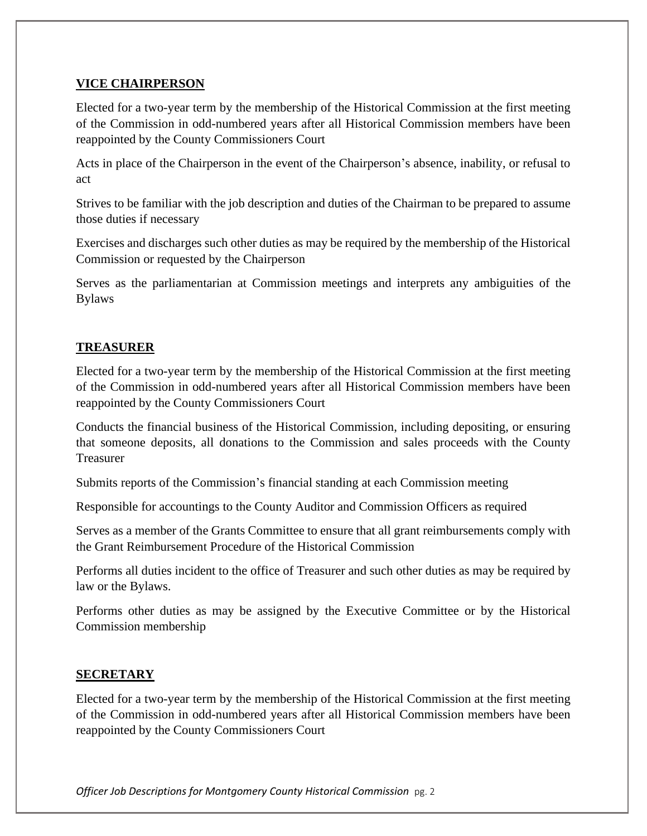## **VICE CHAIRPERSON**

Elected for a two-year term by the membership of the Historical Commission at the first meeting of the Commission in odd-numbered years after all Historical Commission members have been reappointed by the County Commissioners Court

Acts in place of the Chairperson in the event of the Chairperson's absence, inability, or refusal to act

Strives to be familiar with the job description and duties of the Chairman to be prepared to assume those duties if necessary

Exercises and discharges such other duties as may be required by the membership of the Historical Commission or requested by the Chairperson

Serves as the parliamentarian at Commission meetings and interprets any ambiguities of the Bylaws

## **TREASURER**

Elected for a two-year term by the membership of the Historical Commission at the first meeting of the Commission in odd-numbered years after all Historical Commission members have been reappointed by the County Commissioners Court

Conducts the financial business of the Historical Commission, including depositing, or ensuring that someone deposits, all donations to the Commission and sales proceeds with the County Treasurer

Submits reports of the Commission's financial standing at each Commission meeting

Responsible for accountings to the County Auditor and Commission Officers as required

Serves as a member of the Grants Committee to ensure that all grant reimbursements comply with the Grant Reimbursement Procedure of the Historical Commission

Performs all duties incident to the office of Treasurer and such other duties as may be required by law or the Bylaws.

Performs other duties as may be assigned by the Executive Committee or by the Historical Commission membership

### **SECRETARY**

Elected for a two-year term by the membership of the Historical Commission at the first meeting of the Commission in odd-numbered years after all Historical Commission members have been reappointed by the County Commissioners Court

*Officer Job Descriptions for Montgomery County Historical Commission* pg. 2